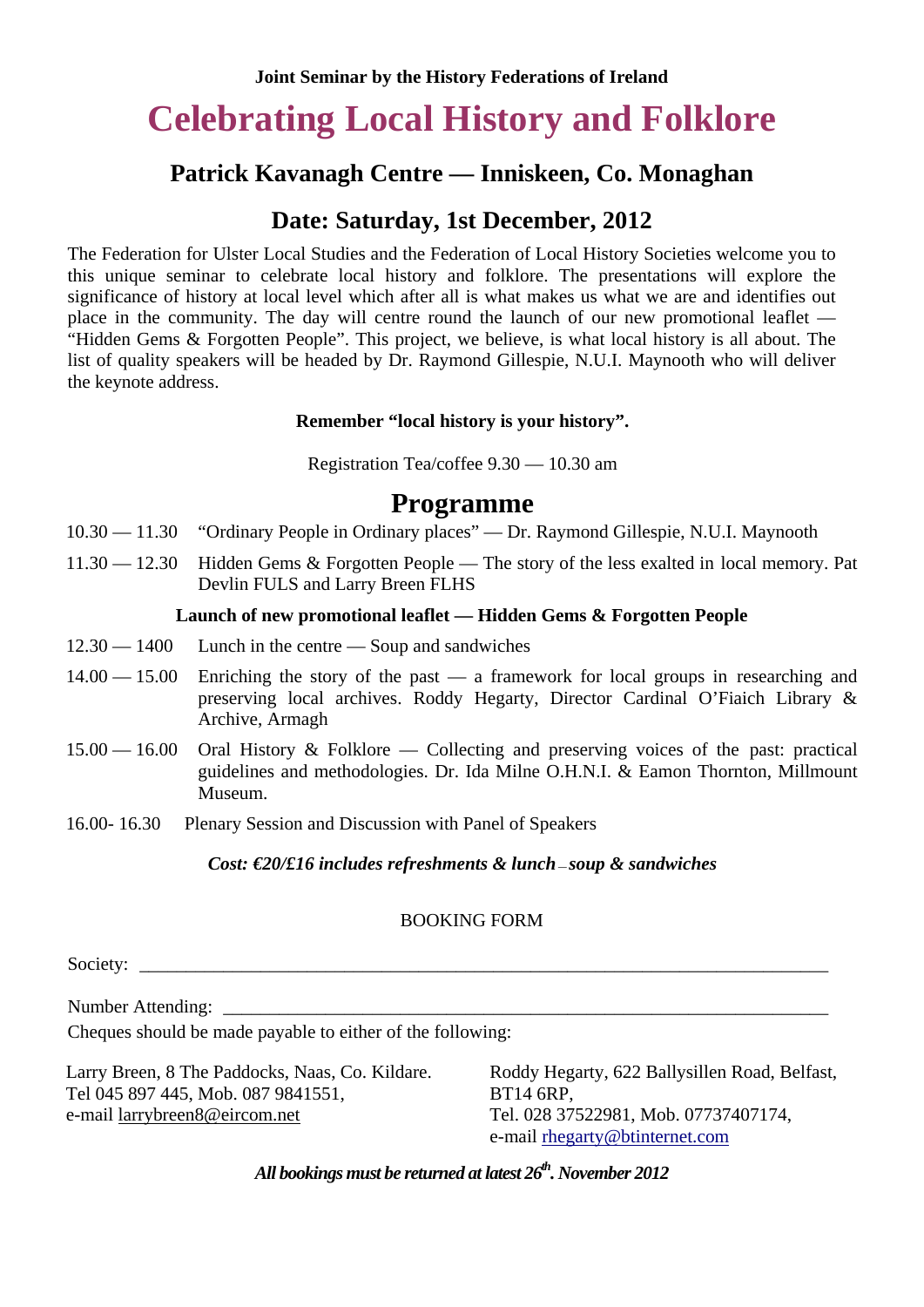# **Celebrating Local History and Folklore**

## **Patrick Kavanagh Centre — Inniskeen, Co. Monaghan**

## **Date: Saturday, 1st December, 2012**

The Federation for Ulster Local Studies and the Federation of Local History Societies welcome you to this unique seminar to celebrate local history and folklore. The presentations will explore the significance of history at local level which after all is what makes us what we are and identifies out place in the community. The day will centre round the launch of our new promotional leaflet — "Hidden Gems & Forgotten People". This project, we believe, is what local history is all about. The list of quality speakers will be headed by Dr. Raymond Gillespie, N.U.I. Maynooth who will deliver the keynote address.

### **Remember "local history is your history".**

Registration Tea/coffee 9.30 — 10.30 am

# **Programme**

- 10.30 11.30 "Ordinary People in Ordinary places" Dr. Raymond Gillespie, N.U.I. Maynooth
- 11.30 12.30 Hidden Gems & Forgotten People The story of the less exalted in local memory. Pat Devlin FULS and Larry Breen FLHS

### **Launch of new promotional leaflet — Hidden Gems & Forgotten People**

- $12.30 1400$  Lunch in the centre  $-$  Soup and sandwiches
- 14.00 15.00 Enriching the story of the past a framework for local groups in researching and preserving local archives. Roddy Hegarty, Director Cardinal O'Fiaich Library & Archive, Armagh
- 15.00 16.00 Oral History & Folklore Collecting and preserving voices of the past: practical guidelines and methodologies. Dr. Ida Milne O.H.N.I. & Eamon Thornton, Millmount Museum.
- 16.00- 16.30 Plenary Session and Discussion with Panel of Speakers

#### *Cost: €20/£16 includes refreshments & lunch — soup & sandwiches*

## BOOKING FORM

Society:

Number Attending:

Cheques should be made payable to either of the following:

Larry Breen, 8 The Paddocks, Naas, Co. Kildare. Tel 045 897 445, Mob. 087 9841551, e-mail larrybreen8@eircom.net

Roddy Hegarty, 622 Ballysillen Road, Belfast, BT14 6RP, Tel. 028 37522981, Mob. 07737407174, e-mail [rhegarty@btinternet.com](mailto:rhegarty@btintemet.com)

*All bookings must be returned at latest 26th. November 2012*